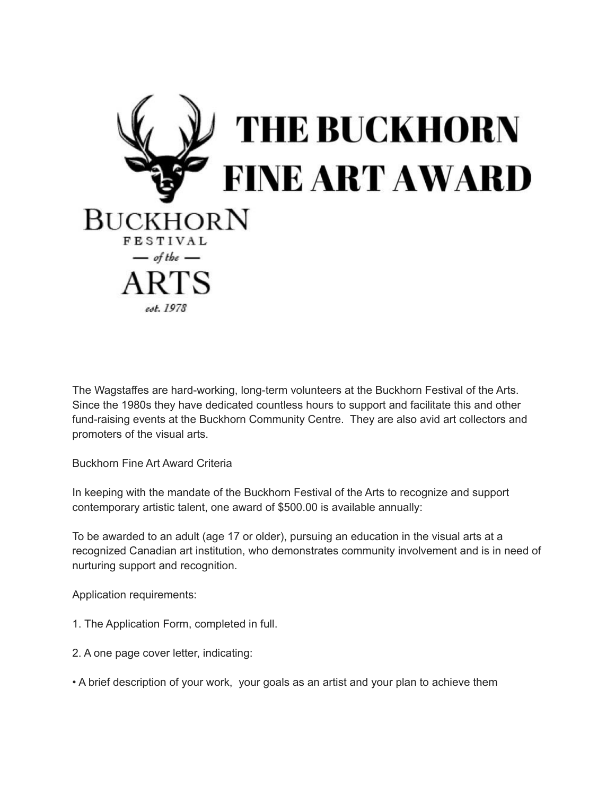

The Wagstaffes are hard-working, long-term volunteers at the Buckhorn Festival of the Arts. Since the 1980s they have dedicated countless hours to support and facilitate this and other fund-raising events at the Buckhorn Community Centre. They are also avid art collectors and promoters of the visual arts.

Buckhorn Fine Art Award Criteria

In keeping with the mandate of the Buckhorn Festival of the Arts to recognize and support contemporary artistic talent, one award of \$500.00 is available annually:

To be awarded to an adult (age 17 or older), pursuing an education in the visual arts at a recognized Canadian art institution, who demonstrates community involvement and is in need of nurturing support and recognition.

Application requirements:

- 1. The Application Form, completed in full.
- 2. A one page cover letter, indicating:
- A brief description of your work, your goals as an artist and your plan to achieve them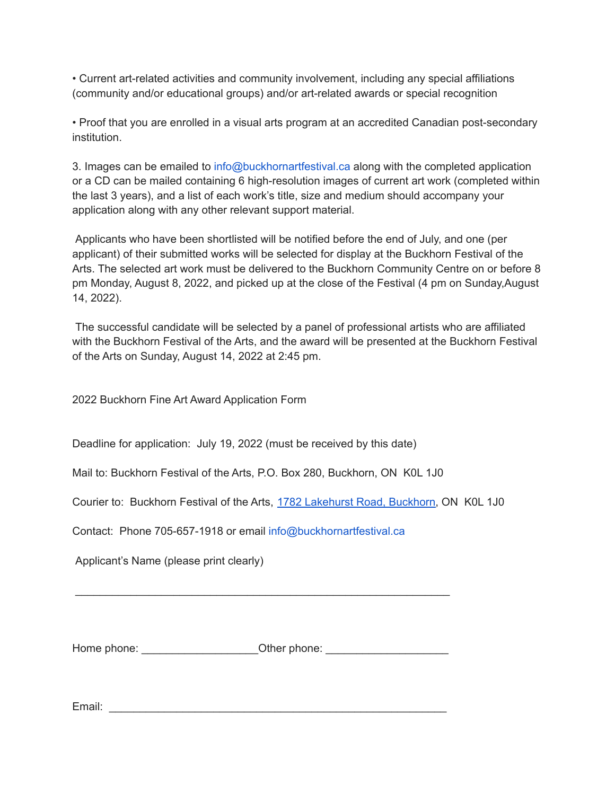• Current art-related activities and community involvement, including any special affiliations (community and/or educational groups) and/or art-related awards or special recognition

• Proof that you are enrolled in a visual arts program at an accredited Canadian post-secondary institution.

3. Images can be emailed to info@buckhornartfestival.ca along with the completed application or a CD can be mailed containing 6 high-resolution images of current art work (completed within the last 3 years), and a list of each work's title, size and medium should accompany your application along with any other relevant support material.

Applicants who have been shortlisted will be notified before the end of July, and one (per applicant) of their submitted works will be selected for display at the Buckhorn Festival of the Arts. The selected art work must be delivered to the Buckhorn Community Centre on or before 8 pm Monday, August 8, 2022, and picked up at the close of the Festival (4 pm on Sunday,August 14, 2022).

The successful candidate will be selected by a panel of professional artists who are affiliated with the Buckhorn Festival of the Arts, and the award will be presented at the Buckhorn Festival of the Arts on Sunday, August 14, 2022 at 2:45 pm.

2022 Buckhorn Fine Art Award Application Form

Deadline for application: July 19, 2022 (must be received by this date)

Mail to: Buckhorn Festival of the Arts, P.O. Box 280, Buckhorn, ON K0L 1J0

Courier to: Buckhorn Festival of the Arts, 1782 [Lakehurst](https://www.google.com/maps/search/1782+Lakehurst+Road,+Buckhorn?entry=gmail&source=g) Road, Buckhorn, ON K0L 1J0

Contact: Phone 705-657-1918 or email info@buckhornartfestival.ca

Applicant's Name (please print clearly)

Home phone: \_\_\_\_\_\_\_\_\_\_\_\_\_\_\_\_\_\_\_\_\_\_\_\_\_Other phone: \_\_\_\_\_\_\_\_\_\_\_\_\_\_\_\_\_\_\_\_\_\_\_\_\_\_\_\_\_\_

\_\_\_\_\_\_\_\_\_\_\_\_\_\_\_\_\_\_\_\_\_\_\_\_\_\_\_\_\_\_\_\_\_\_\_\_\_\_\_\_\_\_\_\_\_\_\_\_\_\_\_\_\_\_\_\_\_\_\_\_\_

Email: \_\_\_\_\_\_\_\_\_\_\_\_\_\_\_\_\_\_\_\_\_\_\_\_\_\_\_\_\_\_\_\_\_\_\_\_\_\_\_\_\_\_\_\_\_\_\_\_\_\_\_\_\_\_\_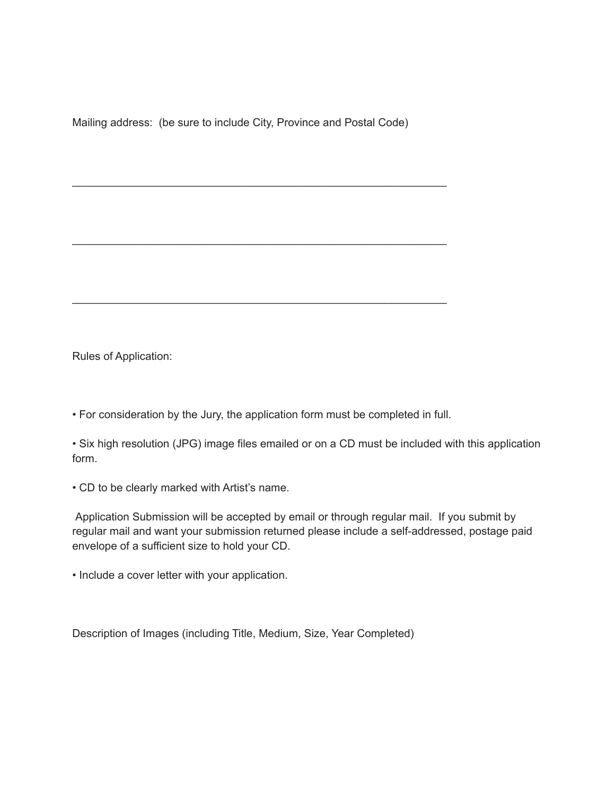Mailing address: (be sure to include City, Province and Postal Code)

\_\_\_\_\_\_\_\_\_\_\_\_\_\_\_\_\_\_\_\_\_\_\_\_\_\_\_\_\_\_\_\_\_\_\_\_\_\_\_\_\_\_\_\_\_\_\_\_\_\_\_\_\_\_\_\_\_\_\_\_\_

\_\_\_\_\_\_\_\_\_\_\_\_\_\_\_\_\_\_\_\_\_\_\_\_\_\_\_\_\_\_\_\_\_\_\_\_\_\_\_\_\_\_\_\_\_\_\_\_\_\_\_\_\_\_\_\_\_\_\_\_\_

\_\_\_\_\_\_\_\_\_\_\_\_\_\_\_\_\_\_\_\_\_\_\_\_\_\_\_\_\_\_\_\_\_\_\_\_\_\_\_\_\_\_\_\_\_\_\_\_\_\_\_\_\_\_\_\_\_\_\_\_\_

Rules of Application:

• For consideration by the Jury, the application form must be completed in full.

• Six high resolution (JPG) image files emailed or on a CD must be included with this application form.

• CD to be clearly marked with Artist's name.

Application Submission will be accepted by email or through regular mail. If you submit by regular mail and want your submission returned please include a self-addressed, postage paid envelope of a sufficient size to hold your CD.

• Include a cover letter with your application.

Description of Images (including Title, Medium, Size, Year Completed)